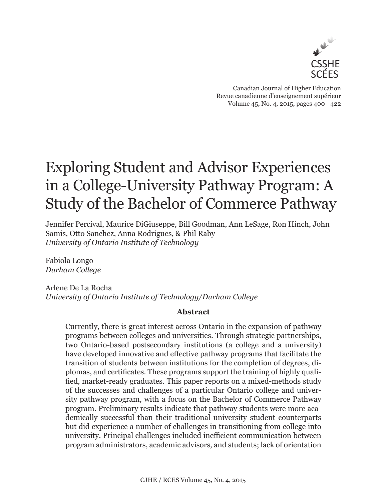

Canadian Journal of Higher Education Revue canadienne d'enseignement supérieur Volume 45, No. 4, 2015, pages 400 - 422

# Exploring Student and Advisor Experiences in a College-University Pathway Program: A Study of the Bachelor of Commerce Pathway

Jennifer Percival, Maurice DiGiuseppe, Bill Goodman, Ann LeSage, Ron Hinch, John Samis, Otto Sanchez, Anna Rodrigues, & Phil Raby *University of Ontario Institute of Technology* 

Fabiola Longo *Durham College*

Arlene De La Rocha *University of Ontario Institute of Technology/Durham College*

## **Abstract**

Currently, there is great interest across Ontario in the expansion of pathway programs between colleges and universities. Through strategic partnerships, two Ontario-based postsecondary institutions (a college and a university) have developed innovative and effective pathway programs that facilitate the transition of students between institutions for the completion of degrees, diplomas, and certificates. These programs support the training of highly qualified, market-ready graduates. This paper reports on a mixed-methods study of the successes and challenges of a particular Ontario college and university pathway program, with a focus on the Bachelor of Commerce Pathway program. Preliminary results indicate that pathway students were more academically successful than their traditional university student counterparts but did experience a number of challenges in transitioning from college into university. Principal challenges included inefficient communication between program administrators, academic advisors, and students; lack of orientation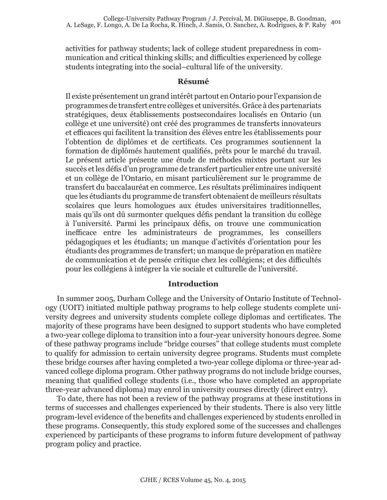activities for pathway students; lack of college student preparedness in communication and critical thinking skills; and difficulties experienced by college students integrating into the social–cultural life of the university.

#### **Résumé**

Il existe présentement un grand intérêt partout en Ontario pour l'expansion de programmes de transfert entre collèges et universités. Grâce à des partenariats stratégiques, deux établissements postsecondaires localisés en Ontario (un collège et une université) ont créé des programmes de transferts innovateurs et efficaces qui facilitent la transition des élèves entre les établissements pour l'obtention de diplômes et de certificats. Ces programmes soutiennent la formation de diplômés hautement qualifiés, prêts pour le marché du travail. Le présent article présente une étude de méthodes mixtes portant sur les succès et les défis d'un programme de transfert particulier entre une université et un collège de l'Ontario, en misant particulièrement sur le programme de transfert du baccalauréat en commerce. Les résultats préliminaires indiquent que les étudiants du programme de transfert obtenaient de meilleurs résultats scolaires que leurs homologues aux études universitaires traditionnelles, mais qu'ils ont dû surmonter quelques défis pendant la transition du collège à l'université. Parmi les principaux défis, on trouve une communication inefficace entre les administrateurs de programmes, les conseillers pédagogiques et les étudiants; un manque d'activités d'orientation pour les étudiants des programmes de transfert; un manque de préparation en matière de communication et de pensée critique chez les collégiens; et des difficultés pour les collégiens à intégrer la vie sociale et culturelle de l'université.

#### **Introduction**

In summer 2005, Durham College and the University of Ontario Institute of Technology (UOIT) initiated multiple pathway programs to help college students complete university degrees and university students complete college diplomas and certificates. The majority of these programs have been designed to support students who have completed a two-year college diploma to transition into a four-year university honours degree. Some of these pathway programs include "bridge courses" that college students must complete to qualify for admission to certain university degree programs. Students must complete these bridge courses after having completed a two-year college diploma or three-year advanced college diploma program. Other pathway programs do not include bridge courses, meaning that qualified college students (i.e., those who have completed an appropriate three-year advanced diploma) may enrol in university courses directly (direct entry).

To date, there has not been a review of the pathway programs at these institutions in terms of successes and challenges experienced by their students. There is also very little program-level evidence of the benefits and challenges experienced by students enrolled in these programs. Consequently, this study explored some of the successes and challenges experienced by participants of these programs to inform future development of pathway program policy and practice.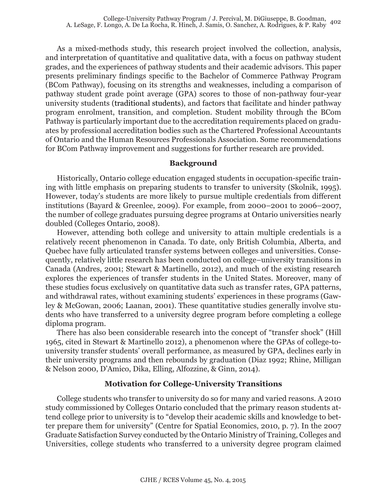As a mixed-methods study, this research project involved the collection, analysis, and interpretation of quantitative and qualitative data, with a focus on pathway student grades, and the experiences of pathway students and their academic advisors. This paper presents preliminary findings specific to the Bachelor of Commerce Pathway Program (BCom Pathway), focusing on its strengths and weaknesses, including a comparison of pathway student grade point average (GPA) scores to those of non-pathway four-year university students (traditional students), and factors that facilitate and hinder pathway program enrolment, transition, and completion. Student mobility through the BCom Pathway is particularly important due to the accreditation requirements placed on graduates by professional accreditation bodies such as the Chartered Professional Accountants of Ontario and the Human Resources Professionals Association. Some recommendations for BCom Pathway improvement and suggestions for further research are provided.

#### **Background**

Historically, Ontario college education engaged students in occupation-specific training with little emphasis on preparing students to transfer to university (Skolnik, 1995). However, today's students are more likely to pursue multiple credentials from different institutions (Bayard & Greenlee, 2009). For example, from 2000–2001 to 2006–2007, the number of college graduates pursuing degree programs at Ontario universities nearly doubled (Colleges Ontario, 2008).

However, attending both college and university to attain multiple credentials is a relatively recent phenomenon in Canada. To date, only British Columbia, Alberta, and Quebec have fully articulated transfer systems between colleges and universities. Consequently, relatively little research has been conducted on college–university transitions in Canada (Andres, 2001; Stewart & Martinello, 2012), and much of the existing research explores the experiences of transfer students in the United States. Moreover, many of these studies focus exclusively on quantitative data such as transfer rates, GPA patterns, and withdrawal rates, without examining students' experiences in these programs (Gawley & McGowan, 2006; Laanan, 2001). These quantitative studies generally involve students who have transferred to a university degree program before completing a college diploma program.

There has also been considerable research into the concept of "transfer shock" (Hill 1965, cited in Stewart & Martinello 2012), a phenomenon where the GPAs of college-touniversity transfer students' overall performance, as measured by GPA, declines early in their university programs and then rebounds by graduation (Diaz 1992; Rhine, Milligan & Nelson 2000, D'Amico, Dika, Elling, Alfozzine, & Ginn, 2014).

### **Motivation for College-University Transitions**

College students who transfer to university do so for many and varied reasons. A 2010 study commissioned by Colleges Ontario concluded that the primary reason students attend college prior to university is to "develop their academic skills and knowledge to better prepare them for university" (Centre for Spatial Economics, 2010, p. 7). In the 2007 Graduate Satisfaction Survey conducted by the Ontario Ministry of Training, Colleges and Universities, college students who transferred to a university degree program claimed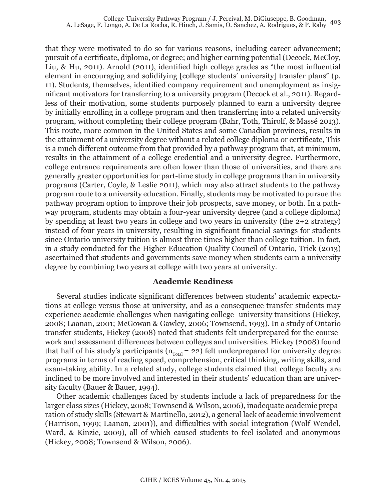that they were motivated to do so for various reasons, including career advancement; pursuit of a certificate, diploma, or degree; and higher earning potential (Decock, McCloy, Liu, & Hu, 2011). Arnold (2011), identified high college grades as "the most influential element in encouraging and solidifying [college students' university] transfer plans" (p. 11). Students, themselves, identified company requirement and unemployment as insignificant motivators for transferring to a university program (Decock et al., 2011). Regardless of their motivation, some students purposely planned to earn a university degree by initially enrolling in a college program and then transferring into a related university program, without completing their college program (Bahr, Toth, Thirolf, & Massé 2013). This route, more common in the United States and some Canadian provinces, results in the attainment of a university degree without a related college diploma or certificate, This is a much different outcome from that provided by a pathway program that, at minimum, results in the attainment of a college credential and a university degree. Furthermore, college entrance requirements are often lower than those of universities, and there are generally greater opportunities for part-time study in college programs than in university programs (Carter, Coyle, & Leslie 2011), which may also attract students to the pathway program route to a university education. Finally, students may be motivated to pursue the pathway program option to improve their job prospects, save money, or both. In a pathway program, students may obtain a four-year university degree (and a college diploma) by spending at least two years in college and two years in university (the 2+2 strategy) instead of four years in university, resulting in significant financial savings for students since Ontario university tuition is almost three times higher than college tuition. In fact, in a study conducted for the Higher Education Quality Council of Ontario, Trick (2013) ascertained that students and governments save money when students earn a university degree by combining two years at college with two years at university.

#### **Academic Readiness**

Several studies indicate significant differences between students' academic expectations at college versus those at university, and as a consequence transfer students may experience academic challenges when navigating college–university transitions (Hickey, 2008; Laanan, 2001; McGowan & Gawley, 2006; Townsend, 1993). In a study of Ontario transfer students, Hickey (2008) noted that students felt underprepared for the coursework and assessment differences between colleges and universities. Hickey (2008) found that half of his study's participants ( $n_{\text{Total}} = 22$ ) felt underprepared for university degree programs in terms of reading speed, comprehension, critical thinking, writing skills, and exam-taking ability. In a related study, college students claimed that college faculty are inclined to be more involved and interested in their students' education than are university faculty (Bauer & Bauer, 1994).

Other academic challenges faced by students include a lack of preparedness for the larger class sizes (Hickey, 2008; Townsend & Wilson, 2006), inadequate academic preparation of study skills (Stewart & Martinello, 2012), a general lack of academic involvement (Harrison, 1999; Laanan, 2001)), and difficulties with social integration (Wolf-Wendel, Ward, & Kinzie, 2009), all of which caused students to feel isolated and anonymous (Hickey, 2008; Townsend & Wilson, 2006).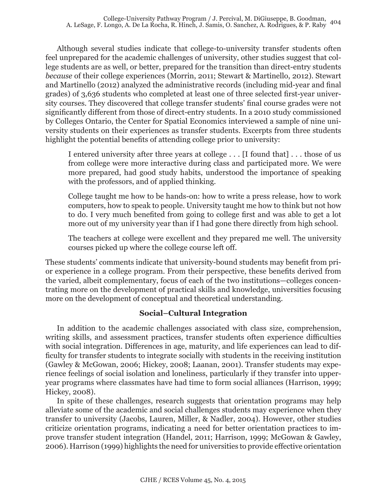Although several studies indicate that college-to-university transfer students often feel unprepared for the academic challenges of university, other studies suggest that college students are as well, or better, prepared for the transition than direct-entry students *because* of their college experiences (Morrin, 2011; Stewart & Martinello, 2012). Stewart and Martinello (2012) analyzed the administrative records (including mid-year and final grades) of 3,636 students who completed at least one of three selected first-year university courses. They discovered that college transfer students' final course grades were not significantly different from those of direct-entry students. In a 2010 study commissioned by Colleges Ontario, the Center for Spatial Economics interviewed a sample of nine university students on their experiences as transfer students. Excerpts from three students highlight the potential benefits of attending college prior to university:

I entered university after three years at college . . . [I found that] . . . those of us from college were more interactive during class and participated more. We were more prepared, had good study habits, understood the importance of speaking with the professors, and of applied thinking.

College taught me how to be hands-on: how to write a press release, how to work computers, how to speak to people. University taught me how to think but not how to do. I very much benefited from going to college first and was able to get a lot more out of my university year than if I had gone there directly from high school.

The teachers at college were excellent and they prepared me well. The university courses picked up where the college course left off.

These students' comments indicate that university-bound students may benefit from prior experience in a college program. From their perspective, these benefits derived from the varied, albeit complementary, focus of each of the two institutions—colleges concentrating more on the development of practical skills and knowledge, universities focusing more on the development of conceptual and theoretical understanding.

#### **Social–Cultural Integration**

In addition to the academic challenges associated with class size, comprehension, writing skills, and assessment practices, transfer students often experience difficulties with social integration. Differences in age, maturity, and life experiences can lead to difficulty for transfer students to integrate socially with students in the receiving institution (Gawley & McGowan, 2006; Hickey, 2008; Laanan, 2001). Transfer students may experience feelings of social isolation and loneliness, particularly if they transfer into upperyear programs where classmates have had time to form social alliances (Harrison, 1999; Hickey, 2008).

In spite of these challenges, research suggests that orientation programs may help alleviate some of the academic and social challenges students may experience when they transfer to university (Jacobs, Lauren, Miller, & Nadler, 2004). However, other studies criticize orientation programs, indicating a need for better orientation practices to improve transfer student integration (Handel, 2011; Harrison, 1999; McGowan & Gawley, 2006). Harrison (1999) highlights the need for universities to provide effective orientation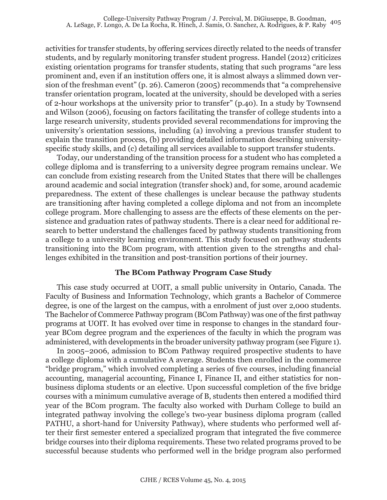activities for transfer students, by offering services directly related to the needs of transfer students, and by regularly monitoring transfer student progress. Handel (2012) criticizes existing orientation programs for transfer students, stating that such programs "are less prominent and, even if an institution offers one, it is almost always a slimmed down version of the freshman event" (p. 26). Cameron (2005) recommends that "a comprehensive transfer orientation program, located at the university, should be developed with a series of 2-hour workshops at the university prior to transfer" (p.40). In a study by Townsend and Wilson (2006), focusing on factors facilitating the transfer of college students into a large research university, students provided several recommendations for improving the university's orientation sessions, including (a) involving a previous transfer student to explain the transition process, (b) providing detailed information describing universityspecific study skills, and (c) detailing all services available to support transfer students.

Today, our understanding of the transition process for a student who has completed a college diploma and is transferring to a university degree program remains unclear. We can conclude from existing research from the United States that there will be challenges around academic and social integration (transfer shock) and, for some, around academic preparedness. The extent of these challenges is unclear because the pathway students are transitioning after having completed a college diploma and not from an incomplete college program. More challenging to assess are the effects of these elements on the persistence and graduation rates of pathway students. There is a clear need for additional research to better understand the challenges faced by pathway students transitioning from a college to a university learning environment. This study focused on pathway students transitioning into the BCom program, with attention given to the strengths and challenges exhibited in the transition and post-transition portions of their journey.

#### **The BCom Pathway Program Case Study**

This case study occurred at UOIT, a small public university in Ontario, Canada. The Faculty of Business and Information Technology, which grants a Bachelor of Commerce degree, is one of the largest on the campus, with a enrolment of just over 2,000 students. The Bachelor of Commerce Pathway program (BCom Pathway) was one of the first pathway programs at UOIT. It has evolved over time in response to changes in the standard fouryear BCom degree program and the experiences of the faculty in which the program was administered, with developments in the broader university pathway program (see Figure 1).

In 2005–2006, admission to BCom Pathway required prospective students to have a college diploma with a cumulative A average. Students then enrolled in the commerce "bridge program," which involved completing a series of five courses, including financial accounting, managerial accounting, Finance I, Finance II, and either statistics for nonbusiness diploma students or an elective. Upon successful completion of the five bridge courses with a minimum cumulative average of B, students then entered a modified third year of the BCom program. The faculty also worked with Durham College to build an integrated pathway involving the college's two-year business diploma program (called PATHU, a short-hand for University Pathway), where students who performed well after their first semester entered a specialized program that integrated the five commerce bridge courses into their diploma requirements. These two related programs proved to be successful because students who performed well in the bridge program also performed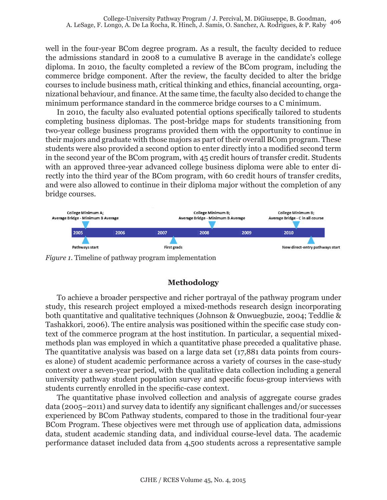well in the four-year BCom degree program. As a result, the faculty decided to reduce the admissions standard in 2008 to a cumulative B average in the candidate's college diploma. In 2010, the faculty completed a review of the BCom program, including the commerce bridge component. After the review, the faculty decided to alter the bridge courses to include business math, critical thinking and ethics, financial accounting, organizational behaviour, and finance. At the same time, the faculty also decided to change the minimum performance standard in the commerce bridge courses to a C minimum.

In 2010, the faculty also evaluated potential options specifically tailored to students completing business diplomas. The post-bridge maps for students transitioning from two-year college business programs provided them with the opportunity to continue in their majors and graduate with those majors as part of their overall BCom program. These students were also provided a second option to enter directly into a modified second term in the second year of the BCom program, with 45 credit hours of transfer credit. Students with an approved three-year advanced college business diploma were able to enter directly into the third year of the BCom program, with 60 credit hours of transfer credits, and were also allowed to continue in their diploma major without the completion of any bridge courses.



*Figure 1*. Timeline of pathway program implementation

## **Methodology**

To achieve a broader perspective and richer portrayal of the pathway program under study, this research project employed a mixed-methods research design incorporating both quantitative and qualitative techniques (Johnson & Onwuegbuzie, 2004; Teddlie & Tashakkori, 2006). The entire analysis was positioned within the specific case study context of the commerce program at the host institution. In particular, a sequential mixedmethods plan was employed in which a quantitative phase preceded a qualitative phase. The quantitative analysis was based on a large data set (17,881 data points from courses alone) of student academic performance across a variety of courses in the case-study context over a seven-year period, with the qualitative data collection including a general university pathway student population survey and specific focus-group interviews with students currently enrolled in the specific-case context.

The quantitative phase involved collection and analysis of aggregate course grades data (2005–2011) and survey data to identify any significant challenges and/or successes experienced by BCom Pathway students, compared to those in the traditional four-year BCom Program. These objectives were met through use of application data, admissions data, student academic standing data, and individual course-level data. The academic performance dataset included data from 4,500 students across a representative sample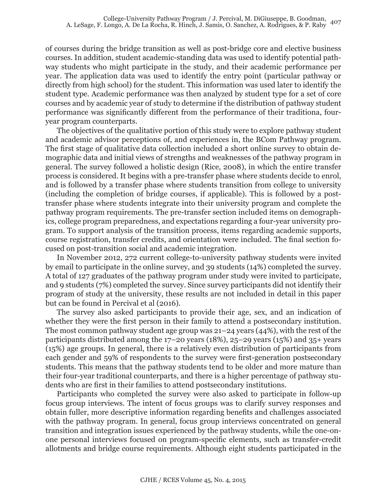of courses during the bridge transition as well as post-bridge core and elective business courses. In addition, student academic-standing data was used to identify potential pathway students who might participate in the study, and their academic performance per year. The application data was used to identify the entry point (particular pathway or directly from high school) for the student. This information was used later to identify the student type. Academic performance was then analyzed by student type for a set of core courses and by academic year of study to determine if the distribution of pathway student performance was significantly different from the performance of their traditiona, fouryear program counterparts.

The objectives of the qualitative portion of this study were to explore pathway student and academic advisor perceptions of, and experiences in, the BCom Pathway program. The first stage of qualitative data collection included a short online survey to obtain demographic data and initial views of strengths and weaknesses of the pathway program in general. The survey followed a holistic design (Rice, 2008), in which the entire transfer process is considered. It begins with a pre-transfer phase where students decide to enrol, and is followed by a transfer phase where students transition from college to university (including the completion of bridge courses, if applicable). This is followed by a posttransfer phase where students integrate into their university program and complete the pathway program requirements. The pre-transfer section included items on demographics, college program preparedness, and expectations regarding a four-year university program. To support analysis of the transition process, items regarding academic supports, course registration, transfer credits, and orientation were included. The final section focused on post-transition social and academic integration.

In November 2012, 272 current college-to-university pathway students were invited by email to participate in the online survey, and 39 students (14%) completed the survey. A total of 127 graduates of the pathway program under study were invited to participate, and 9 students (7%) completed the survey. Since survey participants did not identify their program of study at the university, these results are not included in detail in this paper but can be found in Percival et al (2016).

The survey also asked participants to provide their age, sex, and an indication of whether they were the first person in their family to attend a postsecondary institution. The most common pathway student age group was 21–24 years (44%), with the rest of the participants distributed among the 17–20 years (18%), 25–29 years (15%) and 35+ years (15%) age groups. In general, there is a relatively even distribution of participants from each gender and 59% of respondents to the survey were first-generation postsecondary students. This means that the pathway students tend to be older and more mature than their four-year traditional counterparts, and there is a higher percentage of pathway students who are first in their families to attend postsecondary institutions.

Participants who completed the survey were also asked to participate in follow-up focus group interviews. The intent of focus groups was to clarify survey responses and obtain fuller, more descriptive information regarding benefits and challenges associated with the pathway program. In general, focus group interviews concentrated on general transition and integration issues experienced by the pathway students, while the one-onone personal interviews focused on program-specific elements, such as transfer-credit allotments and bridge course requirements. Although eight students participated in the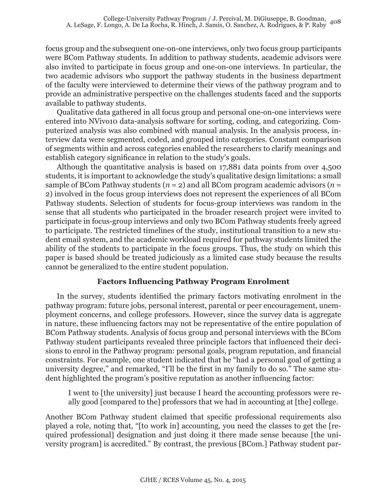focus group and the subsequent one-on-one interviews, only two focus group participants were BCom Pathway students. In addition to pathway students, academic advisors were also invited to participate in focus group and one-on-one interviews. In particular, the two academic advisors who support the pathway students in the business department of the faculty were interviewed to determine their views of the pathway program and to provide an administrative perspective on the challenges students faced and the supports available to pathway students.

Qualitative data gathered in all focus group and personal one-on-one interviews were entered into NVivo10 data-analysis software for sorting, coding, and categorizing. Computerized analysis was also combined with manual analysis. In the analysis process, interview data were segmented, coded, and grouped into categories. Constant comparison of segments within and across categories enabled the researchers to clarify meanings and establish category significance in relation to the study's goals.

Although the quantitative analysis is based on 17,881 data points from over 4,500 students, it is important to acknowledge the study's qualitative design limitations: a small sample of BCom Pathway students  $(n = 2)$  and all BCom program academic advisors  $(n = 1)$ 2) involved in the focus group interviews does not represent the experiences of all BCom Pathway students. Selection of students for focus-group interviews was random in the sense that all students who participated in the broader research project were invited to participate in focus-group interviews and only two BCom Pathway students freely agreed to participate. The restricted timelines of the study, institutional transition to a new student email system, and the academic workload required for pathway students limited the ability of the students to participate in the focus groups. Thus, the study on which this paper is based should be treated judiciously as a limited case study because the results cannot be generalized to the entire student population.

#### **Factors Influencing Pathway Program Enrolment**

In the survey, students identified the primary factors motivating enrolment in the pathway program: future jobs, personal interest, parental or peer encouragement, unemployment concerns, and college professors. However, since the survey data is aggregate in nature, these influencing factors may not be representative of the entire population of BCom Pathway students. Analysis of focus group and personal interviews with the BCom Pathway student participants revealed three principle factors that influenced their decisions to enrol in the Pathway program: personal goals, program reputation, and financial constraints. For example, one student indicated that he "had a personal goal of getting a university degree," and remarked, "I'll be the first in my family to do so." The same student highlighted the program's positive reputation as another influencing factor:

I went to [the university] just because I heard the accounting professors were really good [compared to the] professors that we had in accounting at [the] college.

Another BCom Pathway student claimed that specific professional requirements also played a role, noting that, "[to work in] accounting, you need the classes to get the [required professional] designation and just doing it there made sense because [the university program] is accredited." By contrast, the previous [BCom.] Pathway student par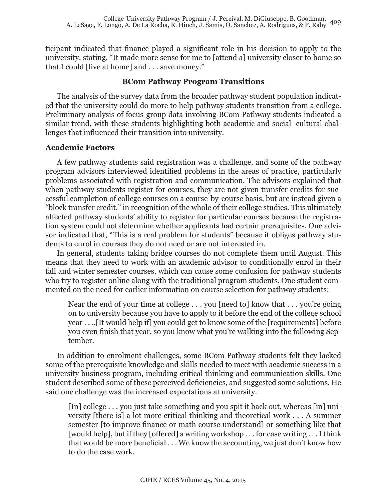ticipant indicated that finance played a significant role in his decision to apply to the university, stating, "It made more sense for me to [attend a] university closer to home so that I could [live at home] and . . . save money."

## **BCom Pathway Program Transitions**

The analysis of the survey data from the broader pathway student population indicated that the university could do more to help pathway students transition from a college. Preliminary analysis of focus-group data involving BCom Pathway students indicated a similar trend, with these students highlighting both academic and social–cultural challenges that influenced their transition into university.

## **Academic Factors**

A few pathway students said registration was a challenge, and some of the pathway program advisors interviewed identified problems in the areas of practice, particularly problems associated with registration and communication. The advisors explained that when pathway students register for courses, they are not given transfer credits for successful completion of college courses on a course-by-course basis, but are instead given a "block transfer credit," in recognition of the whole of their college studies. This ultimately affected pathway students' ability to register for particular courses because the registration system could not determine whether applicants had certain prerequisites. One advisor indicated that, "This is a real problem for students" because it obliges pathway students to enrol in courses they do not need or are not interested in.

In general, students taking bridge courses do not complete them until August. This means that they need to work with an academic advisor to conditionally enrol in their fall and winter semester courses, which can cause some confusion for pathway students who try to register online along with the traditional program students. One student commented on the need for earlier information on course selection for pathway students:

Near the end of your time at college . . . you [need to] know that . . . you're going on to university because you have to apply to it before the end of the college school year . . .,[It would help if] you could get to know some of the [requirements] before you even finish that year, so you know what you're walking into the following September.

In addition to enrolment challenges, some BCom Pathway students felt they lacked some of the prerequisite knowledge and skills needed to meet with academic success in a university business program, including critical thinking and communication skills. One student described some of these perceived deficiencies, and suggested some solutions. He said one challenge was the increased expectations at university.

[In] college . . . you just take something and you spit it back out, whereas [in] university [there is] a lot more critical thinking and theoretical work . . . A summer semester [to improve finance or math course understand] or something like that [would help], but if they [offered] a writing workshop . . . for case writing . . . I think that would be more beneficial . . . We know the accounting, we just don't know how to do the case work.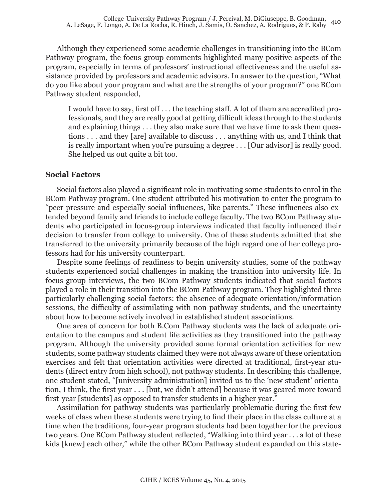Although they experienced some academic challenges in transitioning into the BCom Pathway program, the focus-group comments highlighted many positive aspects of the program, especially in terms of professors' instructional effectiveness and the useful assistance provided by professors and academic advisors. In answer to the question, "What do you like about your program and what are the strengths of your program?" one BCom Pathway student responded,

I would have to say, first off . . . the teaching staff. A lot of them are accredited professionals, and they are really good at getting difficult ideas through to the students and explaining things . . . they also make sure that we have time to ask them questions . . . and they [are] available to discuss . . . anything with us, and I think that is really important when you're pursuing a degree . . . [Our advisor] is really good. She helped us out quite a bit too.

#### **Social Factors**

Social factors also played a significant role in motivating some students to enrol in the BCom Pathway program. One student attributed his motivation to enter the program to "peer pressure and especially social influences, like parents." These influences also extended beyond family and friends to include college faculty. The two BCom Pathway students who participated in focus-group interviews indicated that faculty influenced their decision to transfer from college to university. One of these students admitted that she transferred to the university primarily because of the high regard one of her college professors had for his university counterpart.

Despite some feelings of readiness to begin university studies, some of the pathway students experienced social challenges in making the transition into university life. In focus-group interviews, the two BCom Pathway students indicated that social factors played a role in their transition into the BCom Pathway program. They highlighted three particularly challenging social factors: the absence of adequate orientation/information sessions, the difficulty of assimilating with non-pathway students, and the uncertainty about how to become actively involved in established student associations.

One area of concern for both B.Com Pathway students was the lack of adequate orientation to the campus and student life activities as they transitioned into the pathway program. Although the university provided some formal orientation activities for new students, some pathway students claimed they were not always aware of these orientation exercises and felt that orientation activities were directed at traditional, first-year students (direct entry from high school), not pathway students. In describing this challenge, one student stated, "[university administration] invited us to the 'new student' orientation, I think, the first year . . . [but, we didn't attend] because it was geared more toward first-year [students] as opposed to transfer students in a higher year."

Assimilation for pathway students was particularly problematic during the first few weeks of class when these students were trying to find their place in the class culture at a time when the traditiona, four-year program students had been together for the previous two years. One BCom Pathway student reflected, "Walking into third year . . . a lot of these kids [knew] each other," while the other BCom Pathway student expanded on this state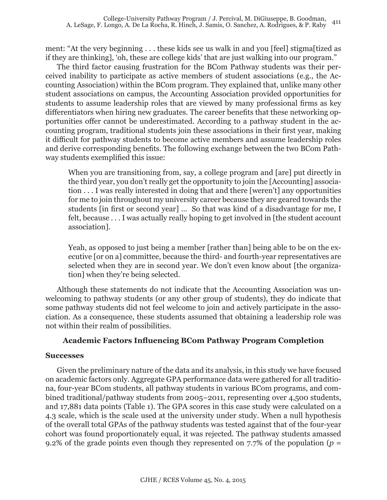ment: "At the very beginning . . . these kids see us walk in and you [feel] stigma[tized as if they are thinking], 'oh, these are college kids' that are just walking into our program."

The third factor causing frustration for the BCom Pathway students was their perceived inability to participate as active members of student associations (e.g., the Accounting Association) within the BCom program. They explained that, unlike many other student associations on campus, the Accounting Association provided opportunities for students to assume leadership roles that are viewed by many professional firms as key differentiators when hiring new graduates. The career benefits that these networking opportunities offer cannot be underestimated. According to a pathway student in the accounting program, traditional students join these associations in their first year, making it difficult for pathway students to become active members and assume leadership roles and derive corresponding benefits. The following exchange between the two BCom Pathway students exemplified this issue:

When you are transitioning from, say, a college program and [are] put directly in the third year, you don't really get the opportunity to join the [Accounting] association . . . I was really interested in doing that and there [weren't] any opportunities for me to join throughout my university career because they are geared towards the students [in first or second year] … So that was kind of a disadvantage for me, I felt, because . . . I was actually really hoping to get involved in [the student account association].

Yeah, as opposed to just being a member [rather than] being able to be on the executive [or on a] committee, because the third- and fourth-year representatives are selected when they are in second year. We don't even know about [the organization] when they're being selected.

Although these statements do not indicate that the Accounting Association was unwelcoming to pathway students (or any other group of students), they do indicate that some pathway students did not feel welcome to join and actively participate in the association. As a consequence, these students assumed that obtaining a leadership role was not within their realm of possibilities.

#### **Academic Factors Influencing BCom Pathway Program Completion**

#### **Successes**

Given the preliminary nature of the data and its analysis, in this study we have focused on academic factors only. Aggregate GPA performance data were gathered for all traditiona, four-year BCom students, all pathway students in various BCom programs, and combined traditional/pathway students from 2005–2011, representing over 4,500 students, and 17,881 data points (Table 1). The GPA scores in this case study were calculated on a 4.3 scale, which is the scale used at the university under study. When a null hypothesis of the overall total GPAs of the pathway students was tested against that of the four-year cohort was found proportionately equal, it was rejected. The pathway students amassed 9.2% of the grade points even though they represented on  $7.7\%$  of the population ( $p =$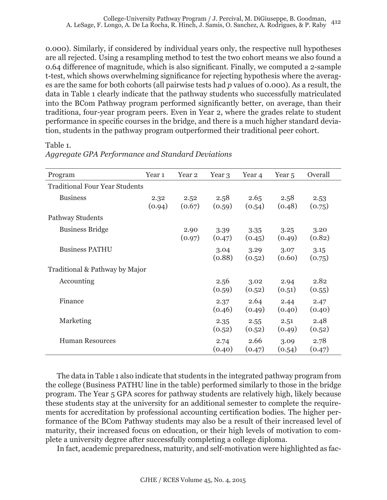0.000). Similarly, if considered by individual years only, the respective null hypotheses are all rejected. Using a resampling method to test the two cohort means we also found a 0.64 difference of magnitude, which is also significant. Finally, we computed a 2-sample t-test, which shows overwhelming significance for rejecting hypothesis where the averages are the same for both cohorts (all pairwise tests had *p* values of 0.000). As a result, the data in Table 1 clearly indicate that the pathway students who successfully matriculated into the BCom Pathway program performed significantly better, on average, than their traditiona, four-year program peers. Even in Year 2, where the grades relate to student performance in specific courses in the bridge, and there is a much higher standard deviation, students in the pathway program outperformed their traditional peer cohort.

#### Table 1.

| Program                        | Year 1         | Year 2         | Year 3         | Year 4         | Year <sub>5</sub> | Overall        |
|--------------------------------|----------------|----------------|----------------|----------------|-------------------|----------------|
| Traditional Four Year Students |                |                |                |                |                   |                |
| <b>Business</b>                | 2.32<br>(0.94) | 2.52<br>(0.67) | 2.58<br>(0.59) | 2.65<br>(0.54) | 2.58<br>(0.48)    | 2.53<br>(0.75) |
| Pathway Students               |                |                |                |                |                   |                |
| <b>Business Bridge</b>         |                | 2.90<br>(0.97) | 3.39<br>(0.47) | 3.35<br>(0.45) | 3.25<br>(0.49)    | 3.20<br>(0.82) |
| <b>Business PATHU</b>          |                |                | 3.04<br>(0.88) | 3.29<br>(0.52) | 3.07<br>(0.60)    | 3.15<br>(0.75) |
| Traditional & Pathway by Major |                |                |                |                |                   |                |
| Accounting                     |                |                | 2.56<br>(0.59) | 3.02<br>(0.52) | 2.94<br>(0.51)    | 2.82<br>(0.55) |
| Finance                        |                |                | 2.37<br>(0.46) | 2.64<br>(0.49) | 2.44<br>(0.40)    | 2.47<br>(0.40) |
| Marketing                      |                |                | 2.35<br>(0.52) | 2.55<br>(0.52) | 2.51<br>(0.49)    | 2.48<br>(0.52) |
| <b>Human Resources</b>         |                |                | 2.74<br>(0.40) | 2.66<br>(0.47) | 3.09<br>(0.54)    | 2.78<br>(0.47) |

# *Aggregate GPA Performance and Standard Deviations*

The data in Table 1 also indicate that students in the integrated pathway program from the college (Business PATHU line in the table) performed similarly to those in the bridge program. The Year 5 GPA scores for pathway students are relatively high, likely because these students stay at the university for an additional semester to complete the requirements for accreditation by professional accounting certification bodies. The higher performance of the BCom Pathway students may also be a result of their increased level of maturity, their increased focus on education, or their high levels of motivation to complete a university degree after successfully completing a college diploma.

In fact, academic preparedness, maturity, and self-motivation were highlighted as fac-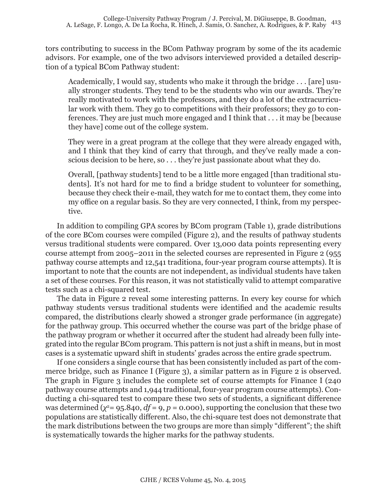tors contributing to success in the BCom Pathway program by some of the its academic advisors. For example, one of the two advisors interviewed provided a detailed description of a typical BCom Pathway student:

Academically, I would say, students who make it through the bridge . . . [are] usually stronger students. They tend to be the students who win our awards. They're really motivated to work with the professors, and they do a lot of the extracurricular work with them. They go to competitions with their professors; they go to conferences. They are just much more engaged and I think that . . . it may be [because they have] come out of the college system.

They were in a great program at the college that they were already engaged with, and I think that they kind of carry that through, and they've really made a conscious decision to be here, so . . . they're just passionate about what they do.

Overall, [pathway students] tend to be a little more engaged [than traditional students]. It's not hard for me to find a bridge student to volunteer for something, because they check their e-mail, they watch for me to contact them, they come into my office on a regular basis. So they are very connected, I think, from my perspective.

In addition to compiling GPA scores by BCom program (Table 1), grade distributions of the core BCom courses were compiled (Figure 2), and the results of pathway students versus traditional students were compared. Over 13,000 data points representing every course attempt from 2005–2011 in the selected courses are represented in Figure 2 (955 pathway course attempts and 12,541 traditiona, four-year program course attempts). It is important to note that the counts are not independent, as individual students have taken a set of these courses. For this reason, it was not statistically valid to attempt comparative tests such as a chi-squared test.

The data in Figure 2 reveal some interesting patterns. In every key course for which pathway students versus traditional students were identified and the academic results compared, the distributions clearly showed a stronger grade performance (in aggregate) for the pathway group. This occurred whether the course was part of the bridge phase of the pathway program or whether it occurred after the student had already been fully integrated into the regular BCom program. This pattern is not just a shift in means, but in most cases is a systematic upward shift in students' grades across the entire grade spectrum.

If one considers a single course that has been consistently included as part of the commerce bridge, such as Finance I (Figure 3), a similar pattern as in Figure 2 is observed. The graph in Figure 3 includes the complete set of course attempts for Finance I (240 pathway course attempts and 1,944 traditional, four-year program course attempts). Conducting a chi-squared test to compare these two sets of students, a significant difference was determined  $(\chi^2 = 95.840, df = 9, p = 0.000)$ , supporting the conclusion that these two populations are statistically different. Also, the chi-square test does not demonstrate that the mark distributions between the two groups are more than simply "different"; the shift is systematically towards the higher marks for the pathway students.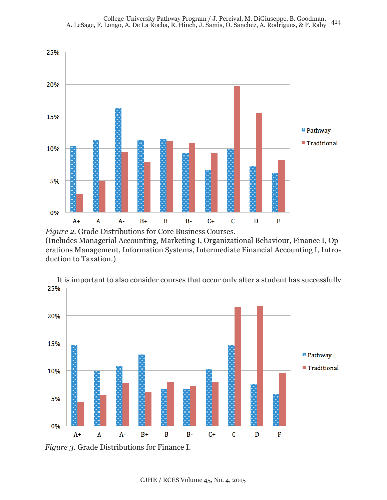

*Figure 2*. Grade Distributions for Core Business Courses. (Includes Managerial Accounting, Marketing I, Organizational Behaviour, Finance I, Operations Management, Information Systems, Intermediate Financial Accounting I, Introduction to Taxation.)



It is important to also consider courses that occur only after a student has successfully

*Figure 3.* Grade Distributions for Finance I.

CJHE / RCES Volume 45, No. 4, 2015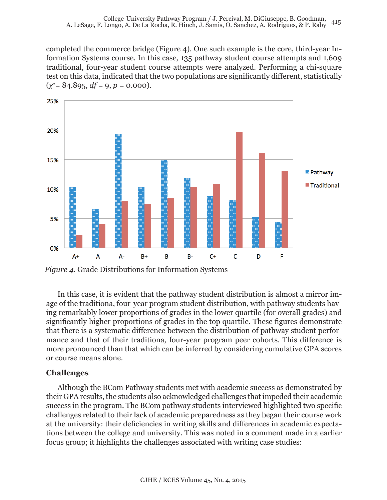completed the commerce bridge (Figure 4). One such example is the core, third-year Information Systems course. In this case, 135 pathway student course attempts and 1,609 traditional, four-year student course attempts were analyzed. Performing a chi-square test on this data, indicated that the two populations are significantly different, statistically  $(\chi^2 = 84.895, df = 9, p = 0.000).$ 



*Figure 4.* Grade Distributions for Information Systems

In this case, it is evident that the pathway student distribution is almost a mirror image of the traditiona, four-year program student distribution, with pathway students having remarkably lower proportions of grades in the lower quartile (for overall grades) and significantly higher proportions of grades in the top quartile. These figures demonstrate that there is a systematic difference between the distribution of pathway student performance and that of their traditiona, four-year program peer cohorts. This difference is more pronounced than that which can be inferred by considering cumulative GPA scores or course means alone.

## **Challenges**

Although the BCom Pathway students met with academic success as demonstrated by their GPA results, the students also acknowledged challenges that impeded their academic success in the program. The BCom pathway students interviewed highlighted two specific challenges related to their lack of academic preparedness as they began their course work at the university: their deficiencies in writing skills and differences in academic expectations between the college and university. This was noted in a comment made in a earlier focus group; it highlights the challenges associated with writing case studies: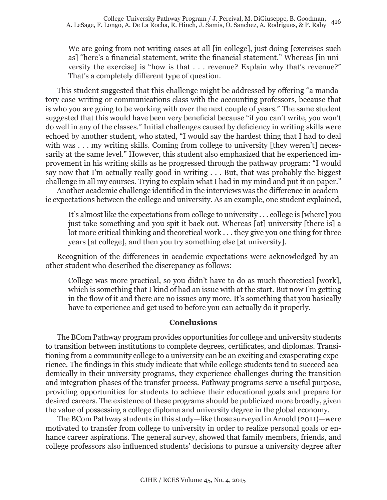We are going from not writing cases at all [in college], just doing [exercises such as] "here's a financial statement, write the financial statement." Whereas [in university the exercise] is "how is that . . . revenue? Explain why that's revenue?" That's a completely different type of question.

This student suggested that this challenge might be addressed by offering "a mandatory case-writing or communications class with the accounting professors, because that is who you are going to be working with over the next couple of years." The same student suggested that this would have been very beneficial because "if you can't write, you won't do well in any of the classes." Initial challenges caused by deficiency in writing skills were echoed by another student, who stated, "I would say the hardest thing that I had to deal with was . . . my writing skills. Coming from college to university [they weren't] necessarily at the same level." However, this student also emphasized that he experienced improvement in his writing skills as he progressed through the pathway program: "I would say now that I'm actually really good in writing . . . But, that was probably the biggest challenge in all my courses. Trying to explain what I had in my mind and put it on paper."

Another academic challenge identified in the interviews was the difference in academic expectations between the college and university. As an example, one student explained,

It's almost like the expectations from college to university . . . college is [where] you just take something and you spit it back out. Whereas [at] university [there is] a lot more critical thinking and theoretical work . . . they give you one thing for three years [at college], and then you try something else [at university].

Recognition of the differences in academic expectations were acknowledged by another student who described the discrepancy as follows:

College was more practical, so you didn't have to do as much theoretical [work], which is something that I kind of had an issue with at the start. But now I'm getting in the flow of it and there are no issues any more. It's something that you basically have to experience and get used to before you can actually do it properly.

#### **Conclusions**

The BCom Pathway program provides opportunities for college and university students to transition between institutions to complete degrees, certificates, and diplomas. Transitioning from a community college to a university can be an exciting and exasperating experience. The findings in this study indicate that while college students tend to succeed academically in their university programs, they experience challenges during the transition and integration phases of the transfer process. Pathway programs serve a useful purpose, providing opportunities for students to achieve their educational goals and prepare for desired careers. The existence of these programs should be publicized more broadly, given the value of possessing a college diploma and university degree in the global economy.

The BCom Pathway students in this study—like those surveyed in Arnold (2011)—were motivated to transfer from college to university in order to realize personal goals or enhance career aspirations. The general survey, showed that family members, friends, and college professors also influenced students' decisions to pursue a university degree after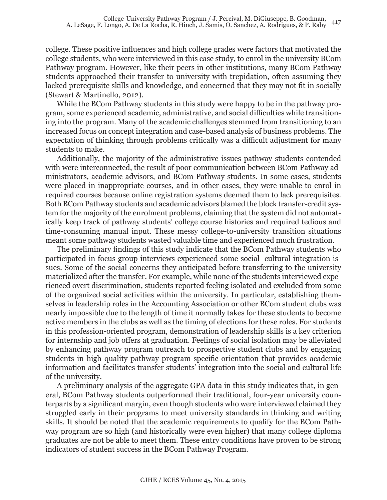college. These positive influences and high college grades were factors that motivated the college students, who were interviewed in this case study, to enrol in the university BCom Pathway program. However, like their peers in other institutions, many BCom Pathway students approached their transfer to university with trepidation, often assuming they lacked prerequisite skills and knowledge, and concerned that they may not fit in socially (Stewart & Martinello, 2012).

While the BCom Pathway students in this study were happy to be in the pathway program, some experienced academic, administrative, and social difficulties while transitioning into the program. Many of the academic challenges stemmed from transitioning to an increased focus on concept integration and case-based analysis of business problems. The expectation of thinking through problems critically was a difficult adjustment for many students to make.

Additionally, the majority of the administrative issues pathway students contended with were interconnected, the result of poor communication between BCom Pathway administrators, academic advisors, and BCom Pathway students. In some cases, students were placed in inappropriate courses, and in other cases, they were unable to enrol in required courses because online registration systems deemed them to lack prerequisites. Both BCom Pathway students and academic advisors blamed the block transfer-credit system for the majority of the enrolment problems, claiming that the system did not automatically keep track of pathway students' college course histories and required tedious and time-consuming manual input. These messy college-to-university transition situations meant some pathway students wasted valuable time and experienced much frustration.

The preliminary findings of this study indicate that the BCom Pathway students who participated in focus group interviews experienced some social–cultural integration issues. Some of the social concerns they anticipated before transferring to the university materialized after the transfer. For example, while none of the students interviewed experienced overt discrimination, students reported feeling isolated and excluded from some of the organized social activities within the university. In particular, establishing themselves in leadership roles in the Accounting Association or other BCom student clubs was nearly impossible due to the length of time it normally takes for these students to become active members in the clubs as well as the timing of elections for these roles. For students in this profession-oriented program, demonstration of leadership skills is a key criterion for internship and job offers at graduation. Feelings of social isolation may be alleviated by enhancing pathway program outreach to prospective student clubs and by engaging students in high quality pathway program-specific orientation that provides academic information and facilitates transfer students' integration into the social and cultural life of the university.

A preliminary analysis of the aggregate GPA data in this study indicates that, in general, BCom Pathway students outperformed their traditional, four-year university counterparts by a significant margin, even though students who were interviewed claimed they struggled early in their programs to meet university standards in thinking and writing skills. It should be noted that the academic requirements to qualify for the BCom Pathway program are so high (and historically were even higher) that many college diploma graduates are not be able to meet them. These entry conditions have proven to be strong indicators of student success in the BCom Pathway Program.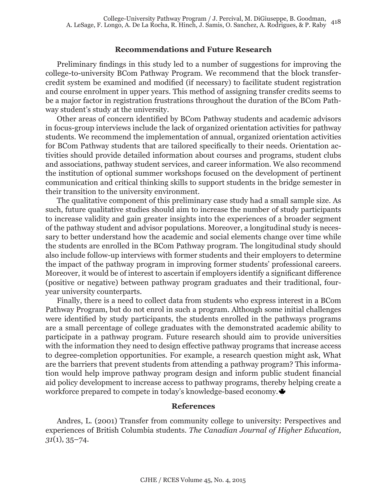#### **Recommendations and Future Research**

Preliminary findings in this study led to a number of suggestions for improving the college-to-university BCom Pathway Program. We recommend that the block transfercredit system be examined and modified (if necessary) to facilitate student registration and course enrolment in upper years. This method of assigning transfer credits seems to be a major factor in registration frustrations throughout the duration of the BCom Pathway student's study at the university.

Other areas of concern identified by BCom Pathway students and academic advisors in focus-group interviews include the lack of organized orientation activities for pathway students. We recommend the implementation of annual, organized orientation activities for BCom Pathway students that are tailored specifically to their needs. Orientation activities should provide detailed information about courses and programs, student clubs and associations, pathway student services, and career information. We also recommend the institution of optional summer workshops focused on the development of pertinent communication and critical thinking skills to support students in the bridge semester in their transition to the university environment.

The qualitative component of this preliminary case study had a small sample size. As such, future qualitative studies should aim to increase the number of study participants to increase validity and gain greater insights into the experiences of a broader segment of the pathway student and advisor populations. Moreover, a longitudinal study is necessary to better understand how the academic and social elements change over time while the students are enrolled in the BCom Pathway program. The longitudinal study should also include follow-up interviews with former students and their employers to determine the impact of the pathway program in improving former students' professional careers. Moreover, it would be of interest to ascertain if employers identify a significant difference (positive or negative) between pathway program graduates and their traditional, fouryear university counterparts.

Finally, there is a need to collect data from students who express interest in a BCom Pathway Program, but do not enrol in such a program. Although some initial challenges were identified by study participants, the students enrolled in the pathways programs are a small percentage of college graduates with the demonstrated academic ability to participate in a pathway program. Future research should aim to provide universities with the information they need to design effective pathway programs that increase access to degree-completion opportunities. For example, a research question might ask, What are the barriers that prevent students from attending a pathway program? This information would help improve pathway program design and inform public student financial aid policy development to increase access to pathway programs, thereby helping create a workforce prepared to compete in today's knowledge-based economy.

#### **References**

Andres, L. (2001) Transfer from community college to university: Perspectives and experiences of British Columbia students. *The Canadian Journal of Higher Education, 31*(1), 35–74.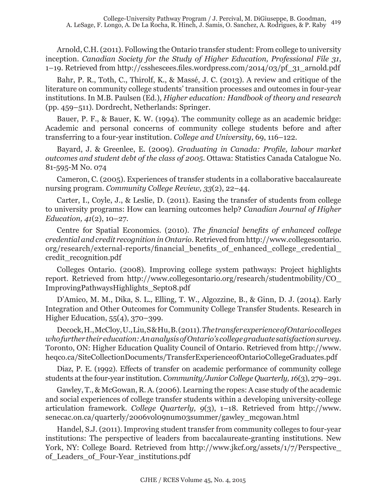Arnold, C.H. (2011). Following the Ontario transfer student: From college to university inception. *Canadian Society for the Study of Higher Education, Professional File 31*, 1–19. Retrieved from http://csshescees.files.wordpress.com/2014/03/pf\_31\_arnold.pdf

Bahr, P. R., Toth, C., Thirolf, K., & Massé, J. C. (2013). A review and critique of the literature on community college students' transition processes and outcomes in four-year institutions. In M.B. Paulsen (Ed.), *Higher education: Handbook of theory and research* (pp. 459–511). Dordrecht, Netherlands: Springer.

Bauer, P. F., & Bauer, K. W. (1994). The community college as an academic bridge: Academic and personal concerns of community college students before and after transferring to a four-year institution. *College and University*, 69, 116–122.

Bayard, J. & Greenlee, E. (2009). *Graduating in Canada: Profile, labour market outcomes and student debt of the class of 2005*. Ottawa: Statistics Canada Catalogue No. 81-595-M No. 074

Cameron, C. (2005). Experiences of transfer students in a collaborative baccalaureate nursing program. *Community College Review, 33*(2), 22–44.

Carter, I., Coyle, J., & Leslie, D. (2011). Easing the transfer of students from college to university programs: How can learning outcomes help? *Canadian Journal of Higher Education, 41*(2), 10–27.

Centre for Spatial Economics. (2010). *The financial benefits of enhanced college credential and credit recognition in Ontario*. Retrieved from http://www.collegesontario. org/research/external-reports/financial\_benefits\_of\_enhanced\_college\_credential\_ credit\_recognition.pdf

Colleges Ontario. (2008). Improving college system pathways: Project highlights report. Retrieved from http://www.collegesontario.org/research/studentmobility/CO\_ ImprovingPathwaysHighlights\_Sept08.pdf

D'Amico, M. M., Dika, S. L., Elling, T. W., Algozzine, B., & Ginn, D. J. (2014). Early Integration and Other Outcomes for Community College Transfer Students. Research in Higher Education, 55(4), 370–399.

Decock, H., McCloy, U., Liu, S & Hu, B. (2011). *The transfer experience of Ontario colleges who further their education: An analysis of Ontario's college graduate satisfaction survey.* Toronto, ON: Higher Education Quality Council of Ontario. Retrieved from http://www. heqco.ca/SiteCollectionDocuments/TransferExperienceofOntarioCollegeGraduates.pdf

Diaz, P. E. (1992). Effects of transfer on academic performance of community college students at the four-year institution. *Community/Junior College Quarterly, 16*(3), 279–291.

Gawley, T., & McGowan, R. A. (2006). Learning the ropes: A case study of the academic and social experiences of college transfer students within a developing university-college articulation framework. *College Quarterly, 9*(3), 1–18. Retrieved from http://www. senecac.on.ca/quarterly/2006vol09num03summer/gawley\_mcgowan.html

Handel, S.J. (2011). Improving student transfer from community colleges to four-year institutions: The perspective of leaders from baccalaureate-granting institutions. New York, NY: College Board. Retrieved from http://www.jkcf.org/assets/1/7/Perspective\_ of\_Leaders\_of\_Four-Year\_institutions.pdf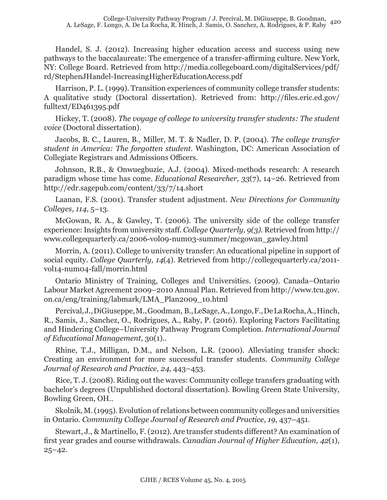Handel, S. J. (2012). Increasing higher education access and success using new pathways to the baccalaureate: The emergence of a transfer-affirming culture. New York, NY: College Board. Retrieved from http://media.collegeboard.com/digitalServices/pdf/ rd/StephenJHandel-IncreasingHigherEducationAccess.pdf

Harrison, P. L. (1999). Transition experiences of community college transfer students: A qualitative study (Doctoral dissertation). Retrieved from: http://files.eric.ed.gov/ fulltext/ED461395.pdf

Hickey, T. (2008). *The voyage of college to university transfer students: The student voice* (Doctoral dissertation).

Jacobs, B. C., Lauren, B., Miller, M. T. & Nadler, D. P. (2004). *The college transfer student in America: The forgotten student.* Washington, DC: American Association of Collegiate Registrars and Admissions Officers.

Johnson, R.B., & Onwuegbuzie, A.J. (2004). Mixed-methods research: A research paradigm whose time has come. *Educational Researcher, 33*(7), 14–26. Retrieved from http://edr.sagepub.com/content/33/7/14.short

Laanan, F.S. (2001). Transfer student adjustment. *New Directions for Community Colleges, 114*, 5–13.

McGowan, R. A., & Gawley, T. (2006). The university side of the college transfer experience: Insights from university staff. *College Quarterly*, *9(3).* Retrieved from http:// www.collegequarterly.ca/2006-vol09-num03-summer/mcgowan\_gawley.html

Morrin, A. (2011). College to university transfer: An educational pipeline in support of social equity. *College Quarterly, 14*(4). Retrieved from http://collegequarterly.ca/2011 vol14-num04-fall/morrin.html

Ontario Ministry of Training, Colleges and Universities. (2009). Canada–Ontario Labour Market Agreement 2009–2010 Annual Plan. Retrieved from http://www.tcu.gov. on.ca/eng/training/labmark/LMA\_Plan2009\_10.html

Percival, J., DiGiuseppe, M., Goodman, B., LeSage, A., Longo, F., De La Rocha, A., Hinch, R., Samis, J., Sanchez, O., Rodrigues, A., Raby, P. (2016). Exploring Factors Facilitating and Hindering College–University Pathway Program Completion. *International Journal of Educational Management*, 30(1)..

Rhine, T.J., Milligan, D.M., and Nelson, L.R. (2000). Alleviating transfer shock: Creating an environment for more successful transfer students. *Community College Journal of Research and Practice, 24,* 443–453.

Rice, T. J. (2008). Riding out the waves: Community college transfers graduating with bachelor's degrees (Unpublished doctoral dissertation). Bowling Green State University, Bowling Green, OH..

Skolnik, M. (1995). Evolution of relations between community colleges and universities in Ontario. *Community College Journal of Research and Practice*, *19*, 437–451.

Stewart, J., & Martinello, F. (2012). Are transfer students different? An examination of first year grades and course withdrawals. *Canadian Journal of Higher Education, 42*(1),  $25 - 42.$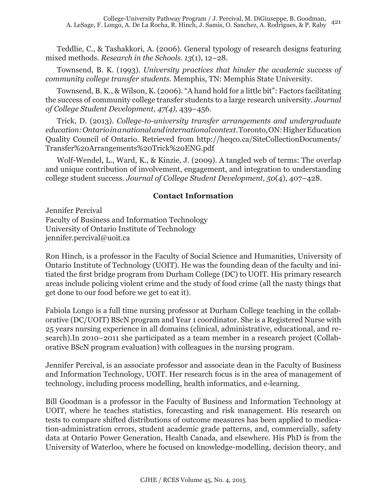Teddlie, C., & Tashakkori, A. (2006). General typology of research designs featuring mixed methods. *Research in the Schools. 13*(1), 12–28.

Townsend, B. K. (1993). *University practices that hinder the academic success of community college transfer students.* Memphis, TN: Memphis State University.

Townsend, B. K., & Wilson, K. (2006). "A hand hold for a little bit": Factors facilitating the success of community college transfer students to a large research university. *Journal of College Student Development, 47(4),* 439–456.

Trick, D. (2013). *College-to-university transfer arrangements and undergraduate education: Ontario in a national and international context*. Toronto, ON: Higher Education Quality Council of Ontario. Retrieved from http://heqco.ca/SiteCollectionDocuments/ Transfer%20Arrangements%20Trick%20ENG.pdf

Wolf-Wendel, L., Ward, K., & Kinzie, J. (2009). A tangled web of terms: The overlap and unique contribution of involvement, engagement, and integration to understanding college student success. *Journal of College Student Development, 50*(4), 407–428.

## **Contact Information**

Jennifer Percival Faculty of Business and Information Technology University of Ontario Institute of Technology jennifer.percival@uoit.ca

Ron Hinch, is a professor in the Faculty of Social Science and Humanities, University of Ontario Institute of Technology (UOIT). He was the founding dean of the faculty and initiated the first bridge program from Durham College (DC) to UOIT. His primary research areas include policing violent crime and the study of food crime (all the nasty things that get done to our food before we get to eat it).

Fabiola Longo is a full time nursing professor at Durham College teaching in the collaborative (DC/UOIT) BScN program and Year 1 coordinator. She is a Registered Nurse with 25 years nursing experience in all domains (clinical, administrative, educational, and research).In 2010–2011 she participated as a team member in a research project (Collaborative BScN program evaluation) with colleagues in the nursing program.

Jennifer Percival, is an associate professor and associate dean in the Faculty of Business and Information Technology, UOIT. Her research focus is in the area of management of technology, including process modelling, health informatics, and e-learning.

Bill Goodman is a professor in the Faculty of Business and Information Technology at UOIT, where he teaches statistics, forecasting and risk management. His research on tests to compare shifted distributions of outcome measures has been applied to medication-administration errors, student academic grade patterns, and, commercially, safety data at Ontario Power Generation, Health Canada, and elsewhere. His PhD is from the University of Waterloo, where he focused on knowledge-modelling, decision theory, and